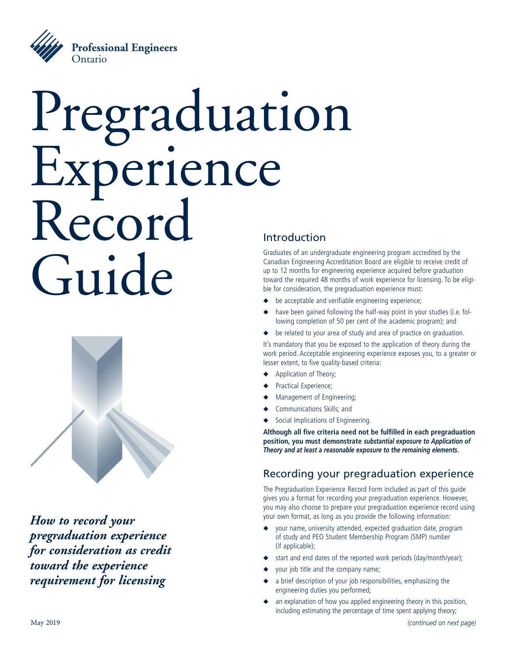

# Pregraduation Experience Record Guide Introduction



*How to record your pregraduation experience for consideration as credit toward the experience requirement for licensing*

Graduates of an undergraduate engineering program accredited by the Canadian Engineering Accreditation Board are eligible to receive credit of up to 12 months for engineering experience acquired before graduation toward the required 48 months of work experience for licensing. To be eligible for consideration, the pregraduation experience must:

- be acceptable and verifiable engineering experience;
- have been gained following the half-way point in your studies (i.e. following completion of 50 per cent of the academic program); and
- ◆ be related to your area of study and area of practice on graduation.

It's mandatory that you be exposed to the application of theory during the work period. Acceptable engineering experience exposes you, to a greater or lesser extent, to five quality-based criteria:

- Application of Theory;
- Practical Experience;
- **◆** Management of Engineering;
- **◆** Communications Skills; and
- **Social Implications of Engineering.**

**Although all five criteria need not be fulfilled in each pregraduation position, you must demonstrate** *substantial exposure to Application of Theory and at least a reasonable exposure to the remaining elements***.**

### Recording your pregraduation experience

The Pregraduation Experience Record Form included as part of this guide gives you a format for recording your pregraduation experience. However, you may also choose to prepare your pregraduation experience record using your own format, as long as you provide the following information:

- **◆** your name, university attended, expected graduation date, program of study and PEO Student Membership Program (SMP) number (if applicable);
- start and end dates of the reported work periods (day/month/year);
- **◆** your job title and the company name;
- a brief description of your job responsibilities, emphasizing the engineering duties you performed;
- an explanation of how you applied engineering theory in this position, including estimating the percentage of time spent applying theory;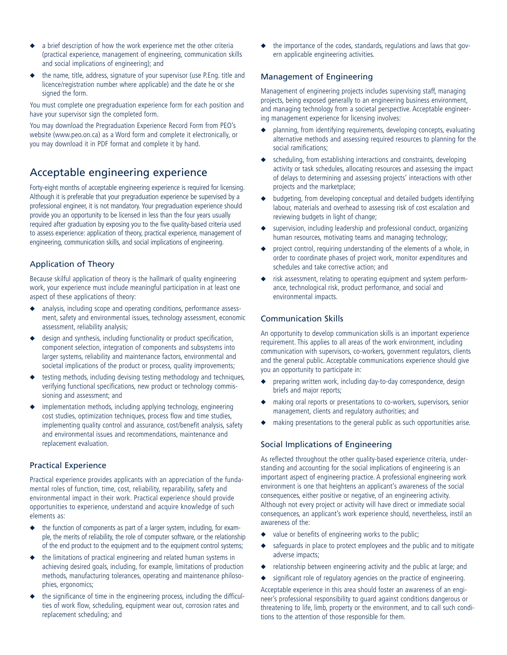- a brief description of how the work experience met the other criteria (practical experience, management of engineering, communication skills and social implications of engineering); and
- **◆** the name, title, address, signature of your supervisor (use P.Eng. title and licence/registration number where applicable) and the date he or she signed the form.

You must complete one pregraduation experience form for each position and have your supervisor sign the completed form.

You may download the Pregraduation Experience Record Form from PEO's website (www.peo.on.ca) as a Word form and complete it electronically, or you may download it in PDF format and complete it by hand.

#### Acceptable engineering experience

Forty-eight months of acceptable engineering experience is required for licensing. Although it is preferable that your pregraduation experience be supervised by a professional engineer, it is not mandatory. Your pregraduation experience should provide you an opportunity to be licensed in less than the four years usually required after graduation by exposing you to the five quality-based criteria used to assess experience: application of theory, practical experience, management of engineering, communication skills, and social implications of engineering.

#### Application of Theory

Because skilful application of theory is the hallmark of quality engineering work, your experience must include meaningful participation in at least one aspect of these applications of theory:

- **◆** analysis, including scope and operating conditions, performance assessment, safety and environmental issues, technology assessment, economic assessment, reliability analysis;
- design and synthesis, including functionality or product specification, component selection, integration of components and subsystems into larger systems, reliability and maintenance factors, environmental and societal implications of the product or process, quality improvements;
- testing methods, including devising testing methodology and techniques, verifying functional specifications, new product or technology commissioning and assessment; and
- **◆** implementation methods, including applying technology, engineering cost studies, optimization techniques, process flow and time studies, implementing quality control and assurance, cost/benefit analysis, safety and environmental issues and recommendations, maintenance and replacement evaluation.

#### Practical Experience

Practical experience provides applicants with an appreciation of the fundamental roles of function, time, cost, reliability, reparability, safety and environmental impact in their work. Practical experience should provide opportunities to experience, understand and acquire knowledge of such elements as:

- **◆** the function of components as part of a larger system, including, for example, the merits of reliability, the role of computer software, or the relationship of the end product to the equipment and to the equipment control systems;
- **◆** the limitations of practical engineering and related human systems in achieving desired goals, including, for example, limitations of production methods, manufacturing tolerances, operating and maintenance philosophies, ergonomics;
- the significance of time in the engineering process, including the difficulties of work flow, scheduling, equipment wear out, corrosion rates and replacement scheduling; and

the importance of the codes, standards, regulations and laws that govern applicable engineering activities.

#### Management of Engineering

Management of engineering projects includes supervising staff, managing projects, being exposed generally to an engineering business environment, and managing technology from a societal perspective. Acceptable engineering management experience for licensing involves:

- **◆** planning, from identifying requirements, developing concepts, evaluating alternative methods and assessing required resources to planning for the social ramifications;
- scheduling, from establishing interactions and constraints, developing activity or task schedules, allocating resources and assessing the impact of delays to determining and assessing projects' interactions with other projects and the marketplace;
- **◆** budgeting, from developing conceptual and detailed budgets identifying labour, materials and overhead to assessing risk of cost escalation and reviewing budgets in light of change;
- supervision, including leadership and professional conduct, organizing human resources, motivating teams and managing technology;
- project control, requiring understanding of the elements of a whole, in order to coordinate phases of project work, monitor expenditures and schedules and take corrective action; and
- risk assessment, relating to operating equipment and system performance, technological risk, product performance, and social and environmental impacts.

#### Communication Skills

An opportunity to develop communication skills is an important experience requirement. This applies to all areas of the work environment, including communication with supervisors, co-workers, government regulators, clients and the general public. Acceptable communications experience should give you an opportunity to participate in:

- preparing written work, including day-to-day correspondence, design briefs and major reports;
- making oral reports or presentations to co-workers, supervisors, senior management, clients and regulatory authorities; and
- making presentations to the general public as such opportunities arise.

#### Social Implications of Engineering

As reflected throughout the other quality-based experience criteria, understanding and accounting for the social implications of engineering is an important aspect of engineering practice. A professional engineering work environment is one that heightens an applicant's awareness of the social consequences, either positive or negative, of an engineering activity. Although not every project or activity will have direct or immediate social consequences, an applicant's work experience should, nevertheless, instil an awareness of the:

- value or benefits of engineering works to the public;
- safeguards in place to protect employees and the public and to mitigate adverse impacts;
- **◆** relationship between engineering activity and the public at large; and
- significant role of regulatory agencies on the practice of engineering.

Acceptable experience in this area should foster an awareness of an engineer's professional responsibility to guard against conditions dangerous or threatening to life, limb, property or the environment, and to call such conditions to the attention of those responsible for them.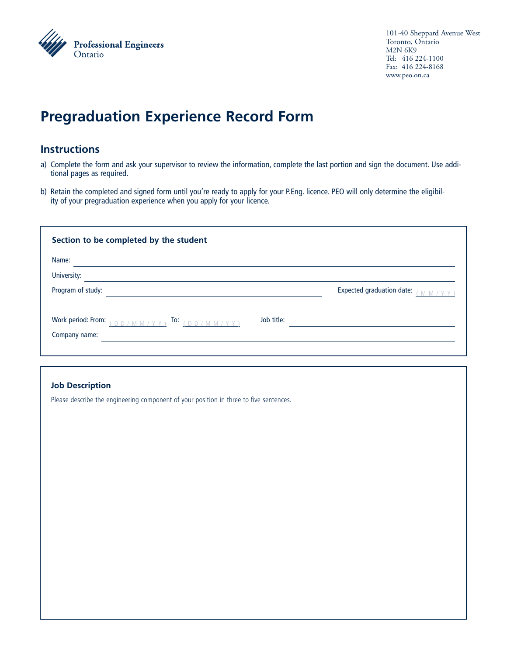

101-40 Sheppard Avenue West Toronto, Ontario M2N 6K9 Tel: 416 224-1100 Fax: 416 224-8168 www.peo.on.ca

## **Pregraduation Experience Record Form**

#### **Instructions**

- a) Complete the form and ask your supervisor to review the information, complete the last portion and sign the document. Use additional pages as required.
- b) Retain the completed and signed form until you're ready to apply for your P.Eng. licence. PEO will only determine the eligibility of your pregraduation experience when you apply for your licence.

| Section to be completed by the student                                                                                                                                         |            |                                 |  |  |
|--------------------------------------------------------------------------------------------------------------------------------------------------------------------------------|------------|---------------------------------|--|--|
| Name:                                                                                                                                                                          |            |                                 |  |  |
| University:                                                                                                                                                                    |            |                                 |  |  |
| Program of study:                                                                                                                                                              |            | Expected graduation date: $\mu$ |  |  |
| Work period: From: $\begin{pmatrix} 0 & p \end{pmatrix}$ $\begin{pmatrix} 0 & p \end{pmatrix}$ To: $\begin{pmatrix} 0 & p \end{pmatrix}$ $\begin{pmatrix} 0 & p \end{pmatrix}$ | Job title: |                                 |  |  |
| Company name:                                                                                                                                                                  |            |                                 |  |  |

#### **Job Description**

Please describe the engineering component of your position in three to five sentences.